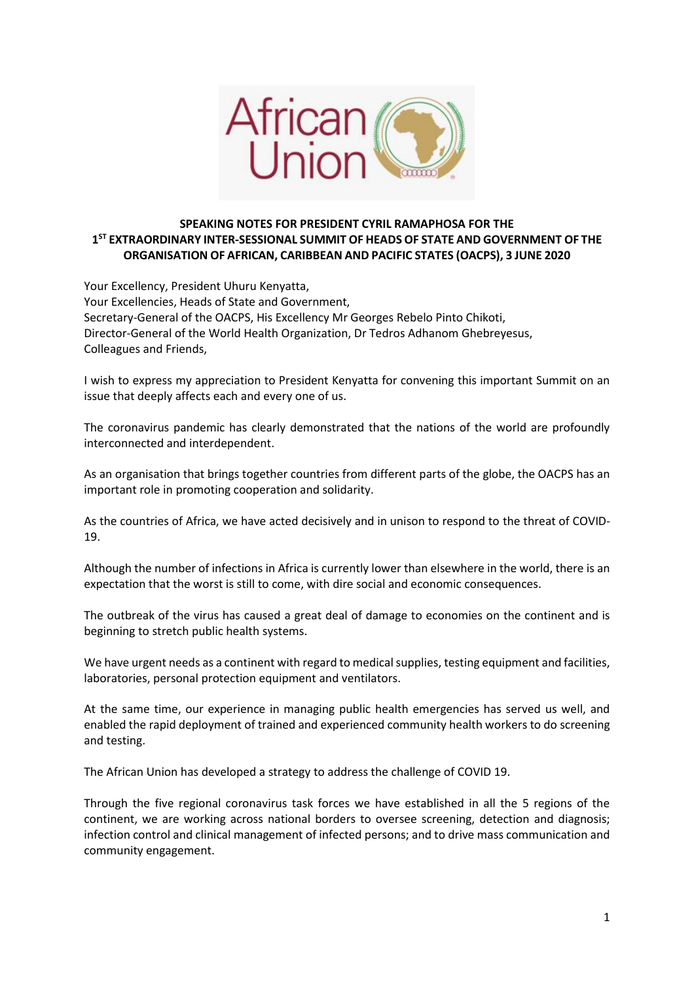

## **SPEAKING NOTES FOR PRESIDENT CYRIL RAMAPHOSA FOR THE 1 ST EXTRAORDINARY INTER-SESSIONAL SUMMIT OF HEADS OF STATE AND GOVERNMENT OF THE ORGANISATION OF AFRICAN, CARIBBEAN AND PACIFIC STATES (OACPS), 3 JUNE 2020**

Your Excellency, President Uhuru Kenyatta, Your Excellencies, Heads of State and Government, Secretary-General of the OACPS, His Excellency Mr Georges Rebelo Pinto Chikoti, Director-General of the World Health Organization, Dr Tedros Adhanom Ghebreyesus, Colleagues and Friends,

I wish to express my appreciation to President Kenyatta for convening this important Summit on an issue that deeply affects each and every one of us.

The coronavirus pandemic has clearly demonstrated that the nations of the world are profoundly interconnected and interdependent.

As an organisation that brings together countries from different parts of the globe, the OACPS has an important role in promoting cooperation and solidarity.

As the countries of Africa, we have acted decisively and in unison to respond to the threat of COVID-19.

Although the number of infections in Africa is currently lower than elsewhere in the world, there is an expectation that the worst is still to come, with dire social and economic consequences.

The outbreak of the virus has caused a great deal of damage to economies on the continent and is beginning to stretch public health systems.

We have urgent needs as a continent with regard to medical supplies, testing equipment and facilities, laboratories, personal protection equipment and ventilators.

At the same time, our experience in managing public health emergencies has served us well, and enabled the rapid deployment of trained and experienced community health workers to do screening and testing.

The African Union has developed a strategy to address the challenge of COVID 19.

Through the five regional coronavirus task forces we have established in all the 5 regions of the continent, we are working across national borders to oversee screening, detection and diagnosis; infection control and clinical management of infected persons; and to drive mass communication and community engagement.